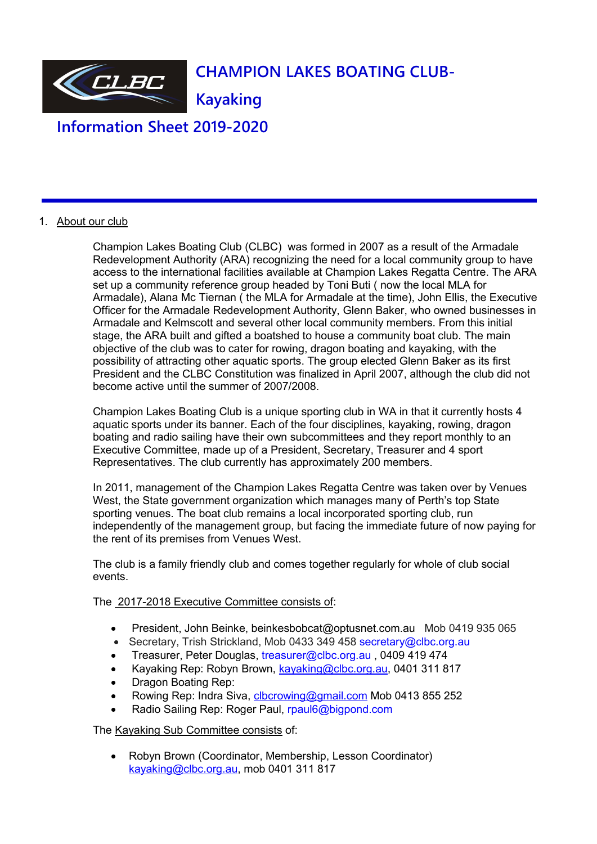

**Information Sheet 2019-2020**

## 1. About our club

Champion Lakes Boating Club (CLBC) was formed in 2007 as a result of the Armadale Redevelopment Authority (ARA) recognizing the need for a local community group to have access to the international facilities available at Champion Lakes Regatta Centre. The ARA set up a community reference group headed by Toni Buti ( now the local MLA for Armadale), Alana Mc Tiernan ( the MLA for Armadale at the time), John Ellis, the Executive Officer for the Armadale Redevelopment Authority, Glenn Baker, who owned businesses in Armadale and Kelmscott and several other local community members. From this initial stage, the ARA built and gifted a boatshed to house a community boat club. The main objective of the club was to cater for rowing, dragon boating and kayaking, with the possibility of attracting other aquatic sports. The group elected Glenn Baker as its first President and the CLBC Constitution was finalized in April 2007, although the club did not become active until the summer of 2007/2008.

Champion Lakes Boating Club is a unique sporting club in WA in that it currently hosts 4 aquatic sports under its banner. Each of the four disciplines, kayaking, rowing, dragon boating and radio sailing have their own subcommittees and they report monthly to an Executive Committee, made up of a President, Secretary, Treasurer and 4 sport Representatives. The club currently has approximately 200 members.

In 2011, management of the Champion Lakes Regatta Centre was taken over by Venues West, the State government organization which manages many of Perth's top State sporting venues. The boat club remains a local incorporated sporting club, run independently of the management group, but facing the immediate future of now paying for the rent of its premises from Venues West.

The club is a family friendly club and comes together regularly for whole of club social events.

## The 2017-2018 Executive Committee consists of:

- President, John Beinke, beinkesbobcat@optusnet.com.au Mob 0419 935 065
- Secretary, Trish Strickland, Mob 0433 349 458 secretary@clbc.org.au
- Treasurer, Peter Douglas, treasurer@clbc.org.au , 0409 419 474
- Kayaking Rep: Robyn Brown, [kayaking@clbc.org.au,](kayaking@clbc.org.au) 0401 311 817
- Dragon Boating Rep:
- Rowing Rep: Indra Siva, [clbcrowing@gmail.com](clbcrowing@gmail.com%20) Mob 0413 855 252
- Radio Sailing Rep: Roger Paul, rpaul6@bigpond.com

The Kayaking Sub Committee consists of:

 Robyn Brown (Coordinator, Membership, Lesson Coordinator) [kayaking@clbc.org.au](mailto:robyn.l.brown@bigpond.com), mob 0401 311 817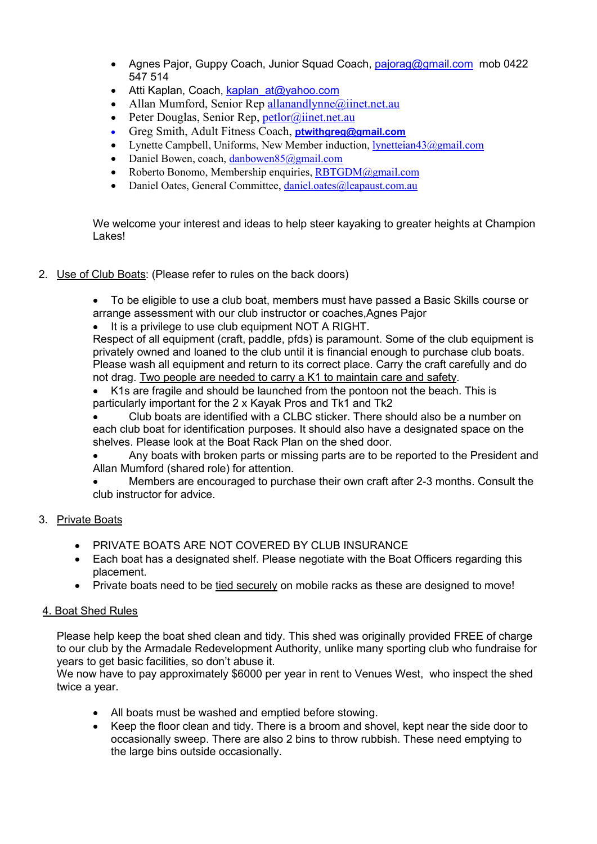- Agnes Pajor, Guppy Coach, Junior Squad Coach, [pajorag@gmail.com](file:///C:/Users/Taitiarna/AppData/Local/Microsoft/Windows/Temporary%20Internet%20Files/Content.Outlook/VVS3WMYT/pajorag@gmail.com) mob 0422 547 514
- Atti Kaplan, Coach, [kaplan\\_at@yahoo.com](file:///C:/Users/Taitiarna/AppData/Local/Microsoft/Windows/Temporary%20Internet%20Files/Content.Outlook/VVS3WMYT/kaplan_at@yahoo.com)
- Allan Mumford, Senior Rep [allanandlynne@iinet.net.au](file:///C:/Users/Taitiarna/Google%20Drive/Robyn%20Brown/Champion%20LakesBoating%20Club/Membership/2015-2016/allanandlynne@iinet.net.au)
- Peter Douglas, Senior Rep, [petlor@iinet.net.au](file:///C:/Users/Taitiarna/Google%20Drive/Robyn%20Brown/Champion%20LakesBoating%20Club/Membership/2015-2016/petlor@iinet.net.au)
- Greg Smith, Adult Fitness Coach, **ptwithgreg@gmail.com**
- Lynette Campbell, Uniforms, New Member induction, <lynetteian43@gmail.com>
- Daniel Bowen, coach, <danbowen85@gmail.com>
- Roberto Bonomo, Membership enquiries, <RBTGDM@gmail.com>
- Daniel Oates, General Committee, <daniel.oates@leapaust.com.au>

We welcome your interest and ideas to help steer kayaking to greater heights at Champion Lakes!

2. Use of Club Boats: (Please refer to rules on the back doors)

 To be eligible to use a club boat, members must have passed a Basic Skills course or arrange assessment with our club instructor or coaches,Agnes Pajor

It is a privilege to use club equipment NOT A RIGHT.

Respect of all equipment (craft, paddle, pfds) is paramount. Some of the club equipment is privately owned and loaned to the club until it is financial enough to purchase club boats. Please wash all equipment and return to its correct place. Carry the craft carefully and do not drag. Two people are needed to carry a K1 to maintain care and safety.

 K1s are fragile and should be launched from the pontoon not the beach. This is particularly important for the 2 x Kayak Pros and Tk1 and Tk2

 Club boats are identified with a CLBC sticker. There should also be a number on each club boat for identification purposes. It should also have a designated space on the shelves. Please look at the Boat Rack Plan on the shed door.

 Any boats with broken parts or missing parts are to be reported to the President and Allan Mumford (shared role) for attention.

 Members are encouraged to purchase their own craft after 2-3 months. Consult the club instructor for advice.

# 3. Private Boats

- **PRIVATE BOATS ARE NOT COVERED BY CLUB INSURANCE**
- Each boat has a designated shelf. Please negotiate with the Boat Officers regarding this placement.
- Private boats need to be tied securely on mobile racks as these are designed to move!

# 4. Boat Shed Rules

Please help keep the boat shed clean and tidy. This shed was originally provided FREE of charge to our club by the Armadale Redevelopment Authority, unlike many sporting club who fundraise for years to get basic facilities, so don't abuse it.

We now have to pay approximately \$6000 per year in rent to Venues West, who inspect the shed twice a year.

- All boats must be washed and emptied before stowing.
- Keep the floor clean and tidy. There is a broom and shovel, kept near the side door to occasionally sweep. There are also 2 bins to throw rubbish. These need emptying to the large bins outside occasionally.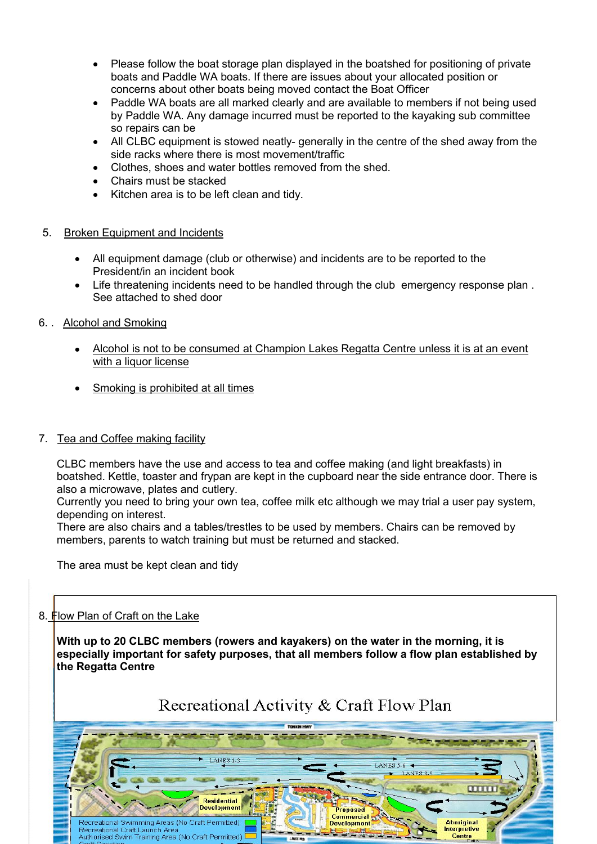- Please follow the boat storage plan displayed in the boatshed for positioning of private boats and Paddle WA boats. If there are issues about your allocated position or concerns about other boats being moved contact the Boat Officer
- Paddle WA boats are all marked clearly and are available to members if not being used by Paddle WA. Any damage incurred must be reported to the kayaking sub committee so repairs can be
- All CLBC equipment is stowed neatly- generally in the centre of the shed away from the side racks where there is most movement/traffic
- Clothes, shoes and water bottles removed from the shed.
- Chairs must be stacked
- Kitchen area is to be left clean and tidy.
- 5. Broken Equipment and Incidents
	- All equipment damage (club or otherwise) and incidents are to be reported to the President/in an incident book
	- Life threatening incidents need to be handled through the club emergency response plan . See attached to shed door
- 6. . Alcohol and Smoking
	- Alcohol is not to be consumed at Champion Lakes Regatta Centre unless it is at an event with a liquor license
	- Smoking is prohibited at all times

## 7. Tea and Coffee making facility

CLBC members have the use and access to tea and coffee making (and light breakfasts) in boatshed. Kettle, toaster and frypan are kept in the cupboard near the side entrance door. There is also a microwave, plates and cutlery.

Currently you need to bring your own tea, coffee milk etc although we may trial a user pay system, depending on interest.

There are also chairs and a tables/trestles to be used by members. Chairs can be removed by members, parents to watch training but must be returned and stacked.

The area must be kept clean and tidy

# 8. Flow Plan of Craft on the Lake

**With up to 20 CLBC members (rowers and kayakers) on the water in the morning,it is especially important for safety purposes, that all members follow a flow plan established by the Regatta Centre**

# Recreational Activity & Craft Flow Plan

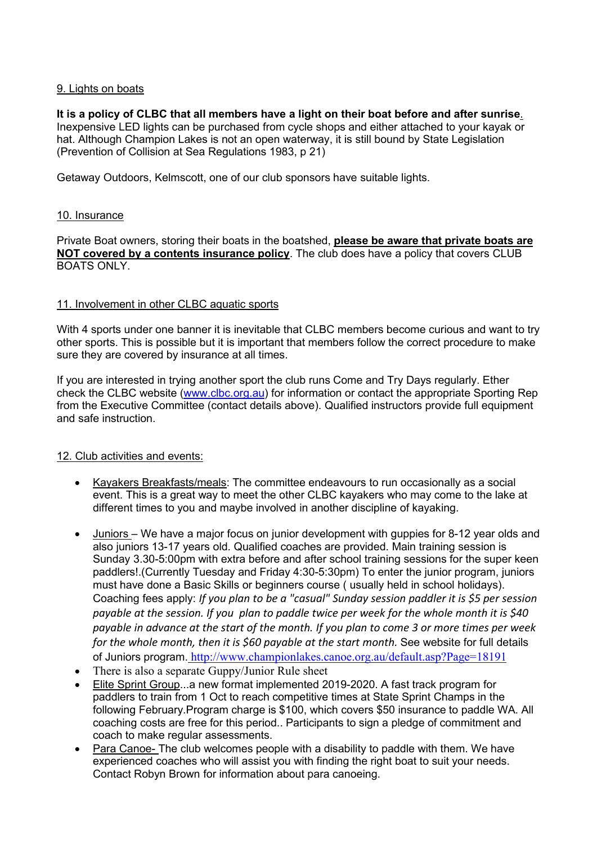## 9. Lights on boats

#### It is a policy of CLBC that all members have a light on their boat before and after sunrise. Inexpensive LED lights can be purchased from cycle shops and either attached to your kayak or hat. Although Champion Lakes is not an open waterway, it is still bound by State Legislation (Prevention of Collision at Sea Regulations 1983, p 21)

Getaway Outdoors, Kelmscott, one of our club sponsors have suitable lights.

#### 10. Insurance

Private Boat owners, storing their boats in the boatshed, **please be aware that private boats are NOT covered by a contents insurance policy**. The club does have a policy that covers CLUB BOATS ONLY.

#### 11. Involvement in other CLBC aquatic sports

With 4 sports under one banner it is inevitable that CLBC members become curious and want to try other sports. This is possible but it is important that members follow the correct procedure to make sure they are covered by insurance at all times.

If you are interested in trying another sport the club runs Come and Try Days regularly. Ether check the CLBC website [\(www.clbc.org.au\)](http://www.clbc.org.au) for information or contact the appropriate Sporting Rep from the Executive Committee (contact details above). Qualified instructors provide full equipment and safe instruction.

## 12. Club activities and events:

- Kayakers Breakfasts/meals: The committee endeavours to run occasionally as a social event. This is a great way to meet the other CLBC kayakerswho may come to the lake at different times to you and maybe involved in another discipline of kayaking.
- Juniors We have a major focus on junior development with guppies for 8-12 year olds and also juniors 13-17 years old. Qualified coaches are provided. Main training session is Sunday 3.30-5:00pm with extra before and after school training sessions for the super keen paddlers!.(Currently Tuesday and Friday 4:30-5:30pm) To enter the junior program, juniors must have done a Basic Skills or beginners course ( usually held in school holidays). Coaching fees apply: *If you plan to be a "casual" Sunday session paddler it is \$5 per session payable at the session. If you plan to paddle twice per week for the whole month it is \$40* payable in advance at the start of the month. If you plan to come 3 or more times per week *for the whole month, then it is \$60 payable at the start month.* See website for full details of Juniors program. <http://www.championlakes.canoe.org.au/default.asp?Page=18191>
- There is also a separate Guppy/Junior Rule sheet
- Elite Sprint Group...a new format implemented 2019-2020.A fast track program for paddlers to train from 1 Oct to reach competitive times at State Sprint Champs in the following February.Program charge is \$100, which covers \$50 insurance to paddle WA. All coaching costs are free for this period.. Participants to sign a pledge of commitment and coach to make regular assessments.
- Para Canoe- The club welcomes people with a disability to paddle with them. We have experienced coaches who will assist you with finding the right boat to suit your needs. Contact Robyn Brown for information about para canoeing.